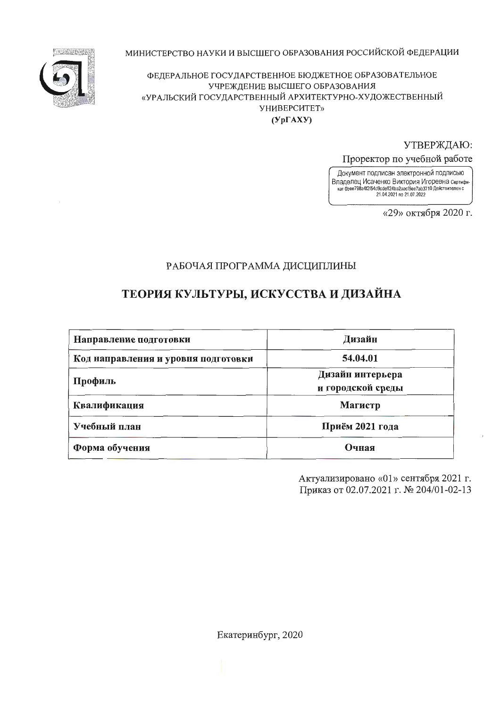МИНИСТЕРСТВО НАУКИ И ВЫСШЕГО ОБРАЗОВАНИЯ РОССИЙСКОЙ ФЕДЕРАЦИИ



ФЕДЕРАЛЬНОЕ ГОСУДАРСТВЕННОЕ БЮДЖЕТНОЕ ОБРАЗОВАТЕЛЬНОЕ УЧРЕЖДЕНИЕ ВЫСШЕГО ОБРАЗОВАНИЯ «УРАЛЬСКИЙ ГОСУДАРСТВЕННЫЙ АРХИТЕКТУРНО-ХУДОЖЕСТВЕННЫЙ УНИВЕРСИТЕТ»  $(Yp\Gamma A X Y)$ 

УТВЕРЖДАЮ:

Проректор по учебной работе

Документ подписан электронной подписью Владелец Исаченко Виктория Игоревна сертифи-<br>ват 0bee798a4f2f54d9cdeff24ba2aecf5ee7ab3710 Действителен с 21.04.2021 no 21.07.2022

«29» октября 2020 г.

# РАБОЧАЯ ПРОГРАММА ДИСЦИПЛИНЫ

# ТЕОРИЯ КУЛЬТУРЫ, ИСКУССТВА И ДИЗАЙНА

| Направление подготовки              | Дизайн                                |
|-------------------------------------|---------------------------------------|
| Код направления и уровня подготовки | 54.04.01                              |
| Профиль                             | Дизайн интерьера<br>и городской среды |
| Квалификация                        | Магистр                               |
| Учебный план                        | Приём 2021 года                       |
| Форма обучения                      | Очная                                 |

Актуализировано «01» сентября 2021 г. Приказ от 02.07.2021 г. № 204/01-02-13

Екатеринбург, 2020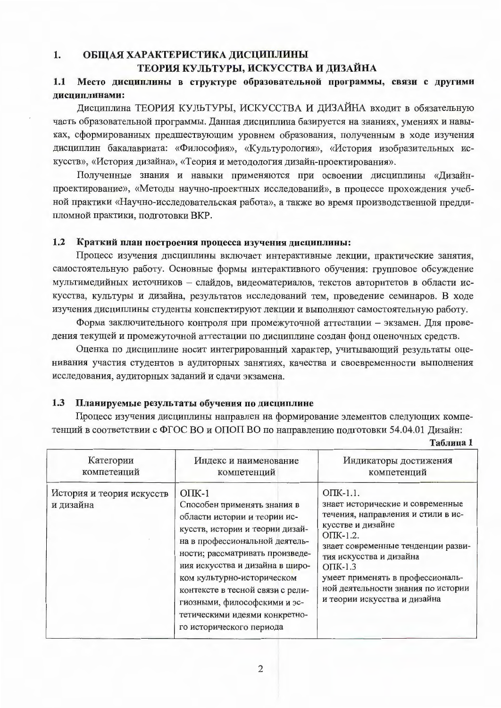#### 1. ОБЩАЯ ХАРАКТЕРИСТИКА ДИСЦИПЛИНЫ ТЕОРИЯ КУЛЬТУРЫ, ИСКУССТВА И ДИЗАЙНА

#### $1.1$ Место дисциплины в структуре образовательной программы, связи с другими дисциплинами:

Дисциплина ТЕОРИЯ КУЛЬТУРЫ, ИСКУССТВА И ДИЗАЙНА входит в обязательную часть образовательной программы. Данная дисциплина базируется на знаниях, умениях и навыках, сформированных предшествующим уровнем образования, полученным в ходе изучения дисциплин бакалавриата: «Философия», «Культурология», «История изобразительных искусств», «История дизайна», «Теория и методология дизайн-проектирования».

Полученные знания и навыки применяются при освоении дисциплины «Дизайнпроектирование», «Методы научно-проектных исследований», в процессе прохождения учебной практики «Научно-исследовательская работа», а также во время производственной преддипломной практики, подготовки ВКР.

#### $1.2$ Краткий план построения процесса изучения дисциплины:

Процесс изучения дисциплины включает интерактивные лекции, практические занятия, самостоятельную работу. Основные формы интерактивного обучения: групповое обсуждение мультимедийных источников - слайдов, видеоматериалов, текстов авторитетов в области искусства, культуры и дизайна, результатов исследований тем, проведение семинаров. В ходе изучения дисциплины студенты конспектируют лекции и выполняют самостоятельную работу.

Форма заключительного контроля при промежуточной аттестации - экзамен. Для проведения текущей и промежуточной аттестации по дисциплине создан фонд оценочных средств.

Оценка по дисциплине носит интегрированный характер, учитывающий результаты оценивания участия студентов в аудиторных занятиях, качества и своевременности выполнения исследования, аудиторных заданий и сдачи экзамена.

#### $1.3$ Планируемые результаты обучения по дисциплине

Процесс изучения дисциплины направлен на формирование элементов следующих компетенций в соответствии с ФГОС ВО и ОПОП ВО по направлению подготовки 54.04.01 Дизайн:

Таблина 1

| Категории<br>компетенций               | Индекс и наименование<br>компетенций                                                                                                                                                                                                                                                                                                                                                | Индикаторы достижения<br>компетенций                                                                                                                                                                                                                                                                                     |
|----------------------------------------|-------------------------------------------------------------------------------------------------------------------------------------------------------------------------------------------------------------------------------------------------------------------------------------------------------------------------------------------------------------------------------------|--------------------------------------------------------------------------------------------------------------------------------------------------------------------------------------------------------------------------------------------------------------------------------------------------------------------------|
| История и теория искусств<br>и дизайна | $O$ $TK-1$<br>Способен применять знания в<br>области истории и теории ис-<br>кусств, истории и теории дизай-<br>на в профессиональной деятель-<br>ности; рассматривать произведе-<br>ния искусства и дизайна в широ-<br>ком культурно-историческом<br>контексте в тесной связи с рели-<br>гиозными, философскими и эс-<br>тетическими идеями конкретно-<br>го исторического периода | $O$ $TK-1.1$ .<br>знает исторические и современные<br>течения, направления и стили в ис-<br>кусстве и дизайне<br>$O$ $TK-1.2$ .<br>знает современные тенденции разви-<br>тия искусства и дизайна<br>$OIIK-1.3$<br>умеет применять в профессиональ-<br>ной деятельности знания по истории<br>и теории искусства и дизайна |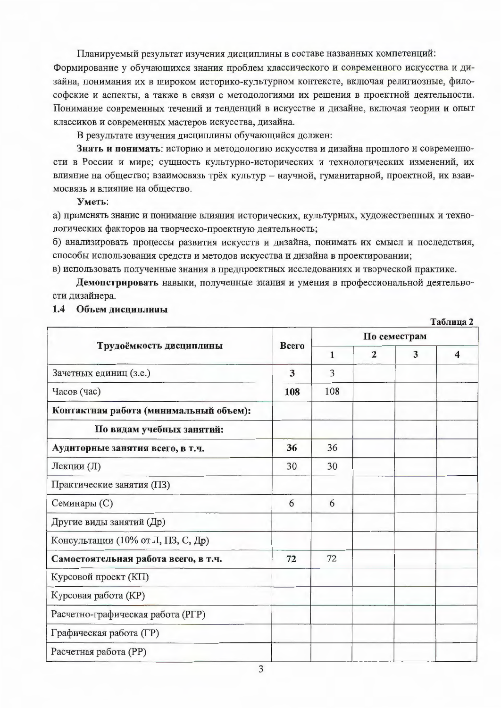Планируемый результат изучения дисциплины в составе названных компетенций:

Формирование у обучающихся знания проблем классического и современного искусства и дизайна, понимания их в широком историко-культурном контексте, включая религиозные, философские и аспекты, а также в связи с методологиями их решения в проектной деятельности. Понимание современных течений и тенденций в искусстве и дизайне, включая теории и опыт классиков и современных мастеров искусства, дизайна.

В результате изучения дисциплины обучающийся должен:

Знать и понимать: историю и методологию искусства и дизайна прошлого и современности в России и мире; сущность культурно-исторических и технологических изменений, их влияние на общество; взаимосвязь трёх культур - научной, гуманитарной, проектной, их взаимосвязь и влияние на общество.

### Уметь:

а) применять знание и понимание влияния исторических, культурных, художественных и технологических факторов на творческо-проектную деятельность;

б) анализировать процессы развития искусств и дизайна, понимать их смысл и последствия, способы использования средств и методов искусства и дизайна в проектировании;

в) использовать полученные знания в предпроектных исследованиях и творческой практике.

Демонстрировать навыки, полученные знания и умения в профессиональной деятельности дизайнера.

Таблица 2

### 1.4 Объем дисциплины

|                                        |       | По семестрам |                |   |   |  |  |  |
|----------------------------------------|-------|--------------|----------------|---|---|--|--|--|
| Трудоёмкость дисциплины                | Всего | 1            | $\overline{2}$ | 3 | 4 |  |  |  |
| Зачетных единиц (з.е.)                 | 3     | 3            |                |   |   |  |  |  |
| Часов (час)                            | 108   | 108          |                |   |   |  |  |  |
| Контактная работа (минимальный объем): |       |              |                |   |   |  |  |  |
| По видам учебных занятий:              |       |              |                |   |   |  |  |  |
| Аудиторные занятия всего, в т.ч.       | 36    | 36           |                |   |   |  |  |  |
| Лекции (Л)                             | 30    | 30           |                |   |   |  |  |  |
| Практические занятия (ПЗ)              |       |              |                |   |   |  |  |  |
| Семинары (C)                           | 6     | 6            |                |   |   |  |  |  |
| Другие виды занятий (Др)               |       |              |                |   |   |  |  |  |
| Консультации (10% от Л, ПЗ, С, Др)     |       |              |                |   |   |  |  |  |
| Самостоятельная работа всего, в т.ч.   | 72    | 72           |                |   |   |  |  |  |
| Курсовой проект (КП)                   |       |              |                |   |   |  |  |  |
| Курсовая работа (KP)                   |       |              |                |   |   |  |  |  |
| Расчетно-графическая работа (РГР)      |       |              |                |   |   |  |  |  |
| Графическая работа (ГР)                |       |              |                |   |   |  |  |  |
| Расчетная работа (РР)                  |       |              |                |   |   |  |  |  |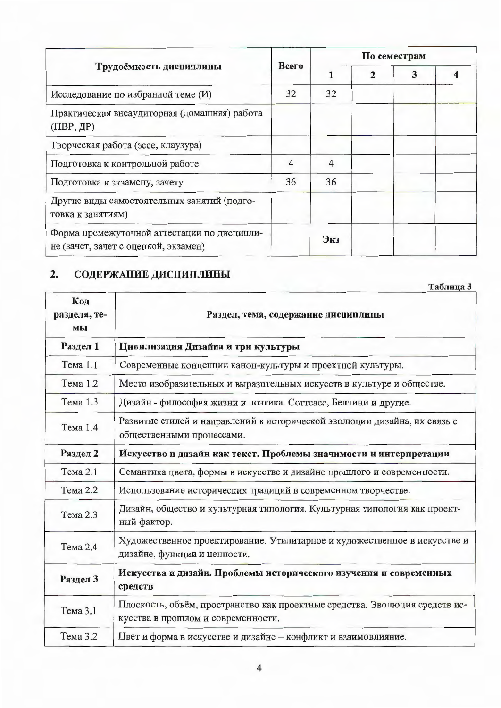|                                                                                     |       | По семестрам |              |   |  |  |  |  |
|-------------------------------------------------------------------------------------|-------|--------------|--------------|---|--|--|--|--|
| Трудоёмкость дисциплины                                                             | Всего |              | $\mathbf{2}$ | 3 |  |  |  |  |
| Исследование по избранной теме (И)                                                  | 32    | 32           |              |   |  |  |  |  |
| Практическая внеаудиторная (домашняя) работа<br>$($ $\Pi$ BP, $\overline{AP}$ $)$   |       |              |              |   |  |  |  |  |
| Творческая работа (эссе, клаузура)                                                  |       |              |              |   |  |  |  |  |
| Подготовка к контрольной работе                                                     | 4     | 4            |              |   |  |  |  |  |
| Подготовка к экзамену, зачету                                                       | 36    | 36           |              |   |  |  |  |  |
| Другие виды самостоятельных занятий (подго-<br>товка к занятиям)                    |       |              |              |   |  |  |  |  |
| Форма промежуточной аттестации по дисципли-<br>не (зачет, зачет с оценкой, экзамен) |       | Экз          |              |   |  |  |  |  |

#### СОДЕРЖАНИЕ ДИСЦИПЛИНЫ  $2.$

|                           | Таблица 3                                                                                                         |
|---------------------------|-------------------------------------------------------------------------------------------------------------------|
| Код<br>раздела, те-<br>мы | Раздел, тема, содержание дисциплины                                                                               |
| Раздел 1                  | Цивилизация Дизайна и три культуры                                                                                |
| Тема 1.1                  | Современные концепции канон-культуры и проектной культуры.                                                        |
| Тема 1.2                  | Место изобразительных и выразительных искусств в культуре и обществе.                                             |
| Тема 1.3                  | Дизайн - философия жизни и поэтика. Соттсасс, Беллини и другие.                                                   |
| Тема 1.4                  | Развитие стилей и направлений в исторической эволюции дизайна, их связь с<br>общественными процессами.            |
| Раздел 2                  | Искусство и дизайн как текст. Проблемы значимости и интерпретации                                                 |
| Тема 2.1                  | Семантика цвета, формы в искусстве и дизайне прошлого и современности.                                            |
| Тема 2.2                  | Использование исторических традиций в современном творчестве.                                                     |
| Тема 2.3                  | Дизайн, общество и культурная типология. Культурная типология как проект-<br>ный фактор.                          |
| Тема 2.4                  | Художественное проектирование. Утилитарное и художественное в искусстве и<br>дизайне, функции и ценности.         |
| Раздел 3                  | Искусства и дизайн. Проблемы исторического изучения и современных<br>средств                                      |
| Тема 3.1                  | Плоскость, объём, пространство как проектные средства. Эволюция средств ис-<br>кусства в прошлом и современности. |
| Тема 3.2                  | Цвет и форма в искусстве и дизайне - конфликт и взаимовлияние.                                                    |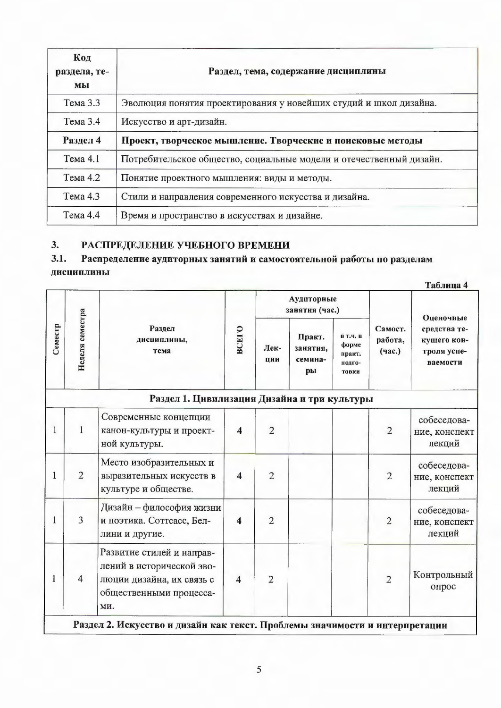| Код<br>раздела, те-<br>мы | Раздел, тема, содержание дисциплины                                 |
|---------------------------|---------------------------------------------------------------------|
| Тема 3.3                  | Эволюция понятия проектирования у новейших студий и школ дизайна.   |
| Tema 3.4                  | Искусство и арт-дизайн.                                             |
| Раздел 4                  | Проект, творческое мышление. Творческие и поисковые методы          |
| Тема 4.1                  | Потребительское общество, социальные модели и отечественный дизайн. |
| Тема 4.2                  | Понятие проектного мышления: виды и методы.                         |
| Тема 4.3                  | Стили и направления современного искусства и дизайна.               |
| $T$ ема 4.4               | Время и пространство в искусствах и дизайне.                        |

#### РАСПРЕДЕЛЕНИЕ УЧЕБНОГО ВРЕМЕНИ  $3.$

#### $3.1.$ Распределение аудиторных занятий и самостоятельной работы по разделам дисциплины

|              |                 |                                                                                                                       |                              |                |                                     |                                                       |                              | Таблица 4                                              |
|--------------|-----------------|-----------------------------------------------------------------------------------------------------------------------|------------------------------|----------------|-------------------------------------|-------------------------------------------------------|------------------------------|--------------------------------------------------------|
|              |                 |                                                                                                                       | Аудиторные<br>занятия (час.) |                |                                     | Оценочные                                             |                              |                                                        |
| Семестр      | Неделя семестра | Раздел<br>дисциплины,<br>тема                                                                                         | <b>BCETO</b>                 | Лек-<br>ции    | Практ.<br>занятия,<br>семина-<br>ры | <b>В Т.Ч. В</b><br>форме<br>практ.<br>подго-<br>товки | Самост.<br>работа,<br>(час.) | средства те-<br>кущего кон-<br>троля успе-<br>ваемости |
|              |                 | Раздел 1. Цивилизация Дизайна и три культуры                                                                          |                              |                |                                     |                                                       |                              |                                                        |
| 1            | $\mathbf{1}$    | Современные концепции<br>канон-культуры и проект-<br>ной культуры.                                                    | 4                            | $\overline{2}$ |                                     |                                                       | $\overline{2}$               | собеседова-<br>ние, конспект<br>лекций                 |
| $\mathbf{1}$ | $\overline{2}$  | Место изобразительных и<br>выразительных искусств в<br>культуре и обществе.                                           | $\overline{\mathbf{4}}$      | $\overline{2}$ |                                     |                                                       | $\overline{2}$               | собеседова-<br>ние, конспект<br>лекций                 |
| 1            | 3               | Дизайн - философия жизни<br>и поэтика. Соттсасс, Бел-<br>лини и другие.                                               | $\overline{\mathbf{4}}$      | $\overline{2}$ |                                     |                                                       | $\overline{2}$               | собеседова-<br>ние, конспект<br>лекций                 |
| 1            | $\overline{4}$  | Развитие стилей и направ-<br>лений в исторической эво-<br>люции дизайна, их связь с<br>общественными процесса-<br>ми. | $\overline{\mathbf{4}}$      | $\overline{2}$ |                                     |                                                       | $\overline{2}$               | Контрольный<br>опрос                                   |
|              |                 | Раздел 2. Искусство и дизайн как текст. Проблемы значимости и интерпретации                                           |                              |                |                                     |                                                       |                              |                                                        |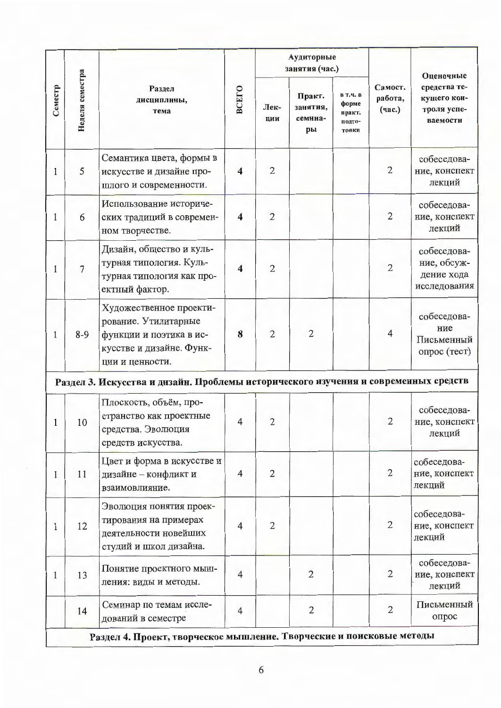|         |                                                  |                                                                                                                           |                         |                                     | Аудиторные<br>занятия (час.)                          |                              |                                                                     |                                                          |
|---------|--------------------------------------------------|---------------------------------------------------------------------------------------------------------------------------|-------------------------|-------------------------------------|-------------------------------------------------------|------------------------------|---------------------------------------------------------------------|----------------------------------------------------------|
| Семестр | Неделя семестра<br>Раздел<br>дисциплины,<br>тема | <b>BCEFO</b>                                                                                                              | Лек-<br>ции             | Практ.<br>занятия,<br>семина-<br>pы | <b>В Т.Ч. В</b><br>форме<br>практ.<br>подго-<br>товки | Самост.<br>работа,<br>(час.) | Оценочные<br>средства те-<br>кущего кон-<br>троля успе-<br>ваемости |                                                          |
| 1       | 5                                                | Семантика цвета, формы в<br>искусстве и дизайне про-<br>шлого и современности.                                            | $\overline{\mathbf{4}}$ | $\overline{2}$                      |                                                       |                              | $\overline{2}$                                                      | собеседова-<br>ние, конспект<br>лекций                   |
| 1       | 6                                                | Использование историче-<br>ских традиций в современ-<br>ном творчестве.                                                   | $\overline{\mathbf{4}}$ | $\overline{2}$                      |                                                       |                              | $\overline{2}$                                                      | собеседова-<br>ние, конспект<br>лекций                   |
| 1       | $\overline{7}$                                   | Дизайн, общество и куль-<br>турная типология. Куль-<br>турная типология как про-<br>ектный фактор.                        | $\overline{\mathbf{4}}$ | $\overline{2}$                      |                                                       |                              | $\overline{2}$                                                      | собеседова-<br>ние, обсуж-<br>дение хода<br>исследования |
| 1       | $8-9$                                            | Художественное проекти-<br>рование. Утилитарные<br>функции и поэтика в ис-<br>кусстве и дизайне. Функ-<br>ции и ценности. | 8                       | $\overline{2}$                      | $\overline{2}$                                        |                              | 4                                                                   | собеседова-<br>ние<br>Письменный<br>опрос (тест)         |
|         |                                                  | Раздел 3. Искусства и дизайн. Проблемы исторического изучения и современных средств                                       |                         |                                     |                                                       |                              |                                                                     |                                                          |
| 1       | 10                                               | Плоскость, объём, про-<br>странство как проектные<br>средства. Эволюция<br>средств искусства.                             | $\overline{4}$          | $\overline{2}$                      |                                                       |                              | $\overline{2}$                                                      | собеседова-<br>ние, конспект<br>лекций                   |
| 1       | 11                                               | Цвет и форма в искусстве и<br>дизайне - конфликт и<br>взаимовлияние.                                                      | $\overline{4}$          | $\overline{2}$                      |                                                       |                              | $\overline{2}$                                                      | собеседова-<br>ние, конспект<br>лекций                   |
| 1       | 12                                               | Эволюция понятия проек-<br>тирования на примерах<br>деятельности новейших<br>студий и школ дизайна.                       | $\overline{4}$          | $\overline{2}$                      |                                                       |                              | $\overline{2}$                                                      | собеседова-<br>ние, конспект<br>лекций                   |
| 1       | 13                                               | Понятие проектного мыш-<br>ления: виды и методы.                                                                          | $\overline{4}$          |                                     | $\overline{2}$                                        |                              | $\overline{2}$                                                      | собеседова-<br>ние, конспект<br>лекций                   |
|         | 14                                               | Семинар по темам иссле-<br>дований в семестре                                                                             | $\overline{4}$          |                                     | $\overline{2}$                                        |                              | $\overline{2}$                                                      | Письменный<br>опрос                                      |
|         |                                                  | Раздел 4. Проект, творческое мышление. Творческие и поисковые методы                                                      |                         |                                     |                                                       |                              |                                                                     |                                                          |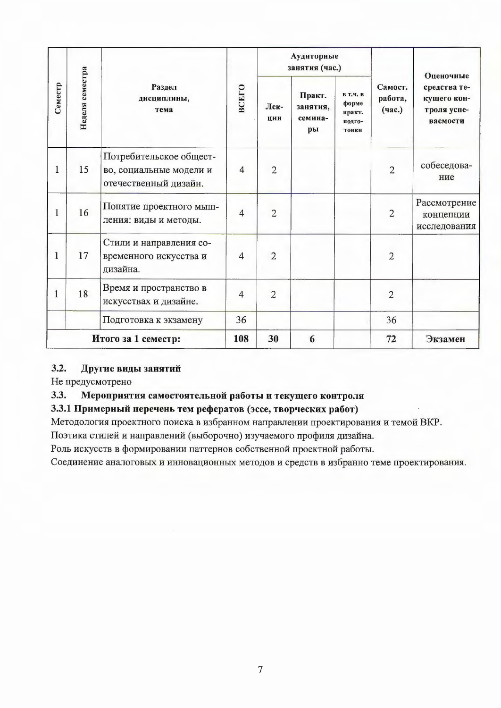|         |                 |                                                                             |                |                | Аудиторные<br>занятия (час.)        |                                                       |                              | Оценочные                                              |
|---------|-----------------|-----------------------------------------------------------------------------|----------------|----------------|-------------------------------------|-------------------------------------------------------|------------------------------|--------------------------------------------------------|
| Семестр | Неделя семестра | Раздел<br>дисциплины,<br>тема                                               | <b>BCETO</b>   | Лек-<br>ЦИИ    | Практ.<br>занятия,<br>семина-<br>pы | <b>В Т.Ч. В</b><br>форме<br>практ.<br>подго-<br>товки | Самост.<br>работа,<br>(час.) | средства те-<br>кущего кон-<br>троля успе-<br>ваемости |
| 1       | 15              | Потребительское общест-<br>во, социальные модели и<br>отечественный дизайн. | $\overline{4}$ | $\overline{2}$ |                                     |                                                       | $\overline{2}$               | собеседова-<br>ние                                     |
| 1       | 16              | Понятие проектного мыш-<br>ления: виды и методы.                            | $\overline{4}$ | $\overline{2}$ |                                     |                                                       | $\overline{2}$               | Рассмотрение<br>концепции<br>исследования              |
| 1       | 17              | Стили и направления со-<br>временного искусства и<br>дизайна.               | $\overline{4}$ | $\overline{2}$ |                                     |                                                       | $\overline{2}$               |                                                        |
| 1       | 18              | Время и пространство в<br>искусствах и дизайне.                             | $\overline{4}$ | $\overline{2}$ |                                     |                                                       | $\overline{2}$               |                                                        |
|         |                 | Подготовка к экзамену                                                       | 36             |                |                                     |                                                       | 36                           |                                                        |
|         |                 | Итого за 1 семестр:                                                         | 108            | 30             | 6                                   |                                                       | 72                           | Экзамен                                                |

#### $3.2.$ Другие виды занятий

Не предусмотрено

#### 3.3. Мероприятия самостоятельной работы и текущего контроля

# 3.3.1 Примерный перечень тем рефератов (эссе, творческих работ)

Методология проектного поиска в избранном направлении проектирования и темой ВКР.

Поэтика стилей и направлений (выборочно) изучаемого профиля дизайна.

Роль искусств в формировании паттернов собственной проектной работы.

Соединение аналоговых и инновационных методов и средств в избранно теме проектирования.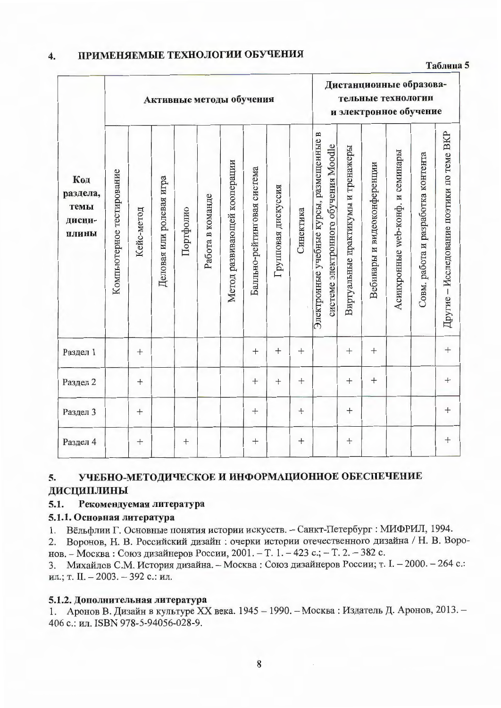#### ПРИМЕНЯЕМЫЕ ТЕХНОЛОГИИ ОБУЧЕНИЯ 4.

### Таблица 5

|                                            |                           |            |                          |           |                  | Активные методы обучения     |                             |                     |           |                                                                                  |                                    | Дистанционные образова-<br>тельные технологии<br>и электронное обучение |                                  |                                    |                                           |
|--------------------------------------------|---------------------------|------------|--------------------------|-----------|------------------|------------------------------|-----------------------------|---------------------|-----------|----------------------------------------------------------------------------------|------------------------------------|-------------------------------------------------------------------------|----------------------------------|------------------------------------|-------------------------------------------|
| Код<br>раздела,<br>темы<br>дисци-<br>плины | Компьютерное тестирование | Кейс-метод | Деловая или ролевая игра | Портфолио | Работа в команде | Метод развивающей кооперации | Балльно-рейтинговая система | Групповая дискуссия | Синектика | Электронные учебные курсы, размещенные в<br>системе электронного обучения Moodle | Виртуальные практикумы и тренажеры | Вебинары и видеоконференции                                             | Асинхронные web-конф. и семинары | Совм. работа и разработка контента | Другие - Исследование поэтики по теме BKP |
| Раздел 1                                   |                           | $^{+}$     |                          |           |                  |                              |                             | $^{+}$              | $^{+}$    |                                                                                  | $^{+}$                             |                                                                         |                                  |                                    | $\ddag$                                   |
| Раздел 2                                   |                           |            |                          |           |                  |                              | $^{+}$                      | $^{+}$              | $^{+}$    |                                                                                  |                                    |                                                                         |                                  |                                    | $^{+}$                                    |
| Раздел 3                                   |                           |            |                          |           |                  |                              | $+$                         |                     | $^{+}$    |                                                                                  | $+$                                |                                                                         |                                  |                                    | $^{+}$                                    |
| Раздел 4                                   |                           |            |                          | $^{+}$    |                  |                              | $\boldsymbol{+}$            |                     |           |                                                                                  | $^{+}$                             |                                                                         |                                  |                                    |                                           |

#### 5. УЧЕБНО-МЕТОДИЧЕСКОЕ И ИНФОРМАЦИОННОЕ ОБЕСПЕЧЕНИЕ ДИСЦИПЛИНЫ

#### $5.1.$ Рекомендуемая литература

### 5.1.1. Основная литература

1. Вёльфлин Г. Основные понятия истории искусств. - Санкт-Петербург : МИФРИЛ, 1994.

2. Воронов, Н. В. Российский дизайн: очерки истории отечественного дизайна / Н. В. Воронов. - Москва: Союз дизайнеров России, 2001. - Т. 1. - 423 с.; - Т. 2. - 382 с.

3. Михайлов С.М. История дизайна. - Москва: Союз дизайнеров России; т. І. - 2000. - 264 с.: ил.; т. II. - 2003. - 392 с.: ил.

### 5.1.2. Дополнительная литература

1. Аронов В. Дизайн в культуре XX века. 1945 - 1990. - Москва: Издатель Д. Аронов, 2013. -406 с.: ил. ISBN 978-5-94056-028-9.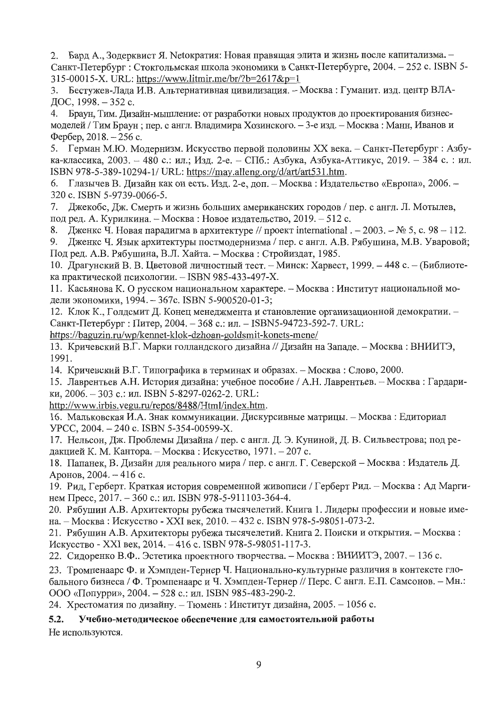Бард А., Зодерквист Я. Метократия: Новая правящая элита и жизнь после капитализма. 2. Санкт-Петербург : Стокгольмская школа экономики в Санкт-Петербурге, 2004. - 252 с. ISBN 5-315-00015-X. URL: https://www.litmir.me/br/?b=2617&p=1

Бестужев-Лада И.В. Альтернативная цивилизация. - Москва: Гуманит. изд. центр ВЛА- $3.$ ДОС, 1998. - 352 с.

4. Браун, Тим. Дизайн-мышление: от разработки новых продуктов до проектирования бизнесмоделей / Тим Браун; пер. с англ. Владимира Хозинского. - 3-е изд. - Москва: Манн, Иванов и Фербер, 2018. - 256 с.

5. Герман М.Ю. Модернизм. Искусство первой половины XX века. – Санкт-Петербург : Азбука-классика, 2003. - 480 с.: ил.: Изд. 2-е. - СПб.: Азбука, Азбука-Аттикус, 2019. - 384 с. : ил. ISBN 978-5-389-10294-1/ URL: https://may.alleng.org/d/art/art531.htm.

6. Глазычев В. Дизайн как он есть. Изд. 2-е, доп. - Москва: Издательство «Европа», 2006. -320 c. ISBN 5-9739-0066-5.

Джекобс, Дж. Смерть и жизнь больших американских городов / пер. с англ. Л. Мотылев, 7. под ред. А. Курилкина. – Москва: Новое издательство, 2019. – 512 с.

8. Дженкс Ч. Новая парадигма в архитектуре // проект international . - 2003. – № 5, с. 98 – 112.

Дженкс Ч. Язык архитектуры постмодернизма / пер. с англ. А.В. Рябушина, М.В. Уваровой; 9. Под ред. А.В. Рябушина, В.Л. Хайта. - Москва: Стройиздат, 1985.

10. Драгунский В. В. Цветовой личностный тест. - Минск: Харвест, 1999. - 448 с. - (Библиотека практической психологии. - ISBN 985-433-497-X.

11. Касьянова К. О русском национальном характере. - Москва: Институт национальной модели экономики, 1994. - 367с. ISBN 5-900520-01-3;

12. Клок К., Голдсмит Д. Конец менеджмента и становление организационной демократии. -Санкт-Петербург: Питер, 2004. - 368 с.: ил. - ISBN 5-94723-592-7. URL:

https://baguzin.ru/wp/kennet-klok-dzhoan-goldsmit-konets-mene/

13. Кричевский В.Г. Марки голландского дизайна // Дизайн на Западе. – Москва: ВНИИТЭ, 1991.

14. Кричевский В.Г. Типографика в терминах и образах. – Москва: Слово, 2000.

15. Лаврентьев А.Н. История дизайна: учебное пособие / А.Н. Лаврентьев. - Москва: Гардарики, 2006. - 303 с.: ил. ISBN 5-8297-0262-2. URL:

http://www.irbis.vegu.ru/repos/8488/Html/index.htm.

16. Мальковская И.А. Знак коммуникации. Дискурсивные матрицы. - Москва: Едиториал YPCC, 2004. - 240 c. ISBN 5-354-00599-X.

17. Нельсон, Дж. Проблемы Дизайна / пер. с англ. Д. Э. Куниной, Д. В. Сильвестрова; под редакцией К. М. Кантора. - Москва: Искусство, 1971. - 207 с.

18. Папанек, В. Дизайн для реального мира / пер. с англ. Г. Северской - Москва: Издатель Д. Аронов, 2004. - 416 с.

19. Рид, Герберт. Краткая история современной живописи / Герберт Рид. – Москва: Ад Маргинем Пресс, 2017. - 360 с.: ил. ISBN 978-5-911103-364-4.

20. Рябушин А.В. Архитекторы рубежа тысячелетий. Книга 1. Лидеры профессии и новые имена. - Москва: Искусство - XXI век, 2010. - 432 с. ISBN 978-5-98051-073-2.

21. Рябушин А.В. Архитекторы рубежа тысячелетий. Книга 2. Поиски и открытия. - Москва: Искусство - XXI век, 2014. - 416 с. ISBN 978-5-98051-117-3.

22. Сидоренко В.Ф.. Эстетика проектного творчества. - Москва: ВНИИТЭ, 2007. - 136 с.

23. Тромпенаарс Ф. и Хэмпден-Тернер Ч. Национально-культурные различия в контексте глобального бизнеса / Ф. Тромпенаарс и Ч. Хэмпден-Тернер // Перс. С англ. Е.П. Самсонов. - Мн.: ООО «Попурри», 2004. - 528 с.: ил. ISBN 985-483-290-2.

24. Хрестоматия по дизайну. - Тюмень: Институт дизайна, 2005. - 1056 с.

 $5.2.$ Учебно-методическое обеспечение для самостоятельной работы

Не используются.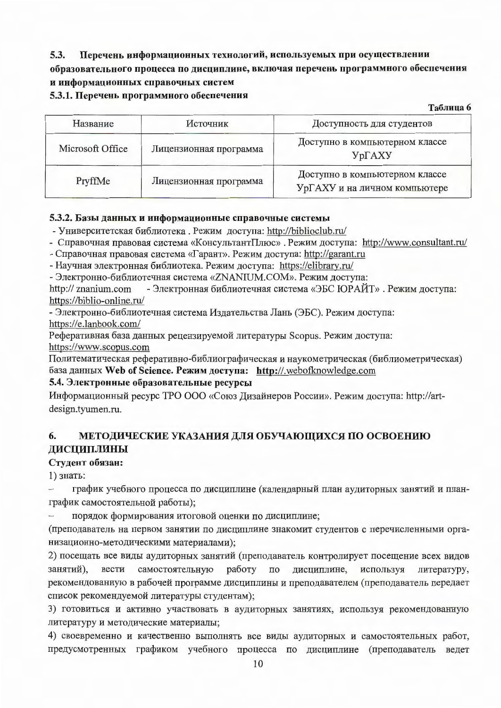#### Перечень информационных технологий, используемых при осуществлении  $5.3.$

# образовательного процесса по дисциплине, включая перечень программного обеспечения и информационных справочных систем

### 5.3.1. Перечень программного обеспечения

Таблица 6

| Название         | Источник               | Доступность для студентов                                       |
|------------------|------------------------|-----------------------------------------------------------------|
| Microsoft Office | Лицензионная программа | Доступно в компьютерном классе<br>$Yp\Gamma AXY$                |
| PryffMe          | Лицензионная программа | Доступно в компьютерном классе<br>УрГАХУ и на личном компьютере |

## 5.3.2. Базы данных и информационные справочные системы

- Университетская библиотека. Режим доступа: http://biblioclub.ru/

- Справочная правовая система «КонсультантПлюс». Режим доступа: http://www.consultant.ru/

- Справочная правовая система «Гарант». Режим доступа: http://garant.ru

- Научная электронная библиотека. Режим доступа: https://elibrary.ru/

- Электронно-библиотечная система «ZNANIUM.COM». Режим доступа:

- Электронная библиотечная система «ЭБС ЮРАЙТ». Режим доступа: http:// znanium.com https://biblio-online.ru/

- Электронно-библиотечная система Издательства Лань (ЭБС). Режим доступа: https://e.lanbook.com/

Реферативная база данных рецензируемой литературы Scopus. Режим доступа: https://www.scopus.com

Политематическая реферативно-библиографическая и наукометрическая (библиометрическая) база данных Web of Science. Режим доступа: http://.webofknowledge.com

## 5.4. Электронные образовательные ресурсы

Информационный ресурс ТРО ООО «Союз Дизайнеров России». Режим доступа: http://artdesign.tyumen.ru.

#### 6. МЕТОДИЧЕСКИЕ УКАЗАНИЯ ДЛЯ ОБУЧАЮЩИХСЯ ПО ОСВОЕНИЮ ДИСЦИПЛИНЫ

## Студент обязан:

1) знать:

график учебного процесса по дисциплине (календарный план аудиторных занятий и план- $\overline{\phantom{0}}$ график самостоятельной работы);

порядок формирования итоговой оценки по дисциплине;

(преподаватель на первом занятии по дисциплине знакомит студентов с перечисленными организационно-методическими материалами);

2) посещать все виды аудиторных занятий (преподаватель контролирует посещение всех видов занятий). вести самостоятельную работу  $\Pi$ <sup>O</sup> дисциплине. используя литературу. рекомендованную в рабочей программе дисциплины и преподавателем (преподаватель передает список рекомендуемой литературы студентам);

3) готовиться и активно участвовать в аудиторных занятиях, используя рекомендованную литературу и методические материалы;

4) своевременно и качественно выполнять все виды аудиторных и самостоятельных работ, предусмотренных графиком учебного процесса по дисциплине (преподаватель ведет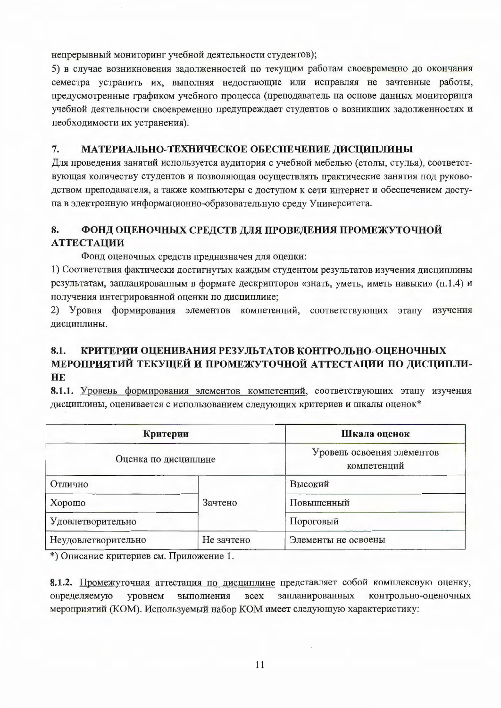непрерывный мониторинг учебной деятельности студентов);

5) в случае возникновения задолженностей по текущим работам своевременно до окончания семестра устранить их, выполняя недостающие или исправляя не зачтенные работы, предусмотренные графиком учебного процесса (преподаватель на основе данных мониторинга учебной деятельности своевременно предупреждает студентов о возникших задолженностях и необходимости их устранения).

#### 7. МАТЕРИАЛЬНО-ТЕХНИЧЕСКОЕ ОБЕСПЕЧЕНИЕ ДИСЦИПЛИНЫ

Для проведения занятий используется аудитория с учебной мебелью (столы, стулья), соответствующая количеству студентов и позволяющая осуществлять практические занятия под руководством преподавателя, а также компьютеры с доступом к сети интернет и обеспечением доступа в электронную информационно-образовательную среду Университета.

#### 8. ФОНД ОЦЕНОЧНЫХ СРЕДСТВ ДЛЯ ПРОВЕДЕНИЯ ПРОМЕЖУТОЧНОЙ **АТТЕСТАЦИИ**

Фонд оценочных средств предназначен для оценки:

1) Соответствия фактически достигнутых каждым студентом результатов изучения дисциплины результатам, запланированным в формате дескрипторов «знать, уметь, иметь навыки» (п.1.4) и получения интегрированной оценки по дисциплине;

2) Уровня формирования элементов компетенций, соответствующих этапу изучения дисциплины.

### КРИТЕРИИ ОЦЕНИВАНИЯ РЕЗУЛЬТАТОВ КОНТРОЛЬНО-ОЦЕНОЧНЫХ 8.1. МЕРОПРИЯТИЙ ТЕКУЩЕЙ И ПРОМЕЖУТОЧНОЙ АТТЕСТАЦИИ ПО ДИСЦИПЛИ-**HE**

8.1.1. Уровень формирования элементов компетенций, соответствующих этапу изучения дисциплины, оценивается с использованием следующих критериев и шкалы оценок\*

| Критерии             |            | Шкала оценок                              |
|----------------------|------------|-------------------------------------------|
| Оценка по дисциплине |            | Уровень освоения элементов<br>компетенций |
| Отлично              |            | Высокий                                   |
| Хорошо               | Зачтено    | Повышенный                                |
| Удовлетворительно    |            | Пороговый                                 |
| Неудовлетворительно  | Не зачтено | Элементы не освоены                       |

\*) Описание критериев см. Приложение 1.

8.1.2. Промежуточная аттестация по дисциплине представляет собой комплексную оценку, выполнения **BCCX** запланированных контрольно-оценочных определяемую уровнем мероприятий (КОМ). Используемый набор КОМ имеет следующую характеристику: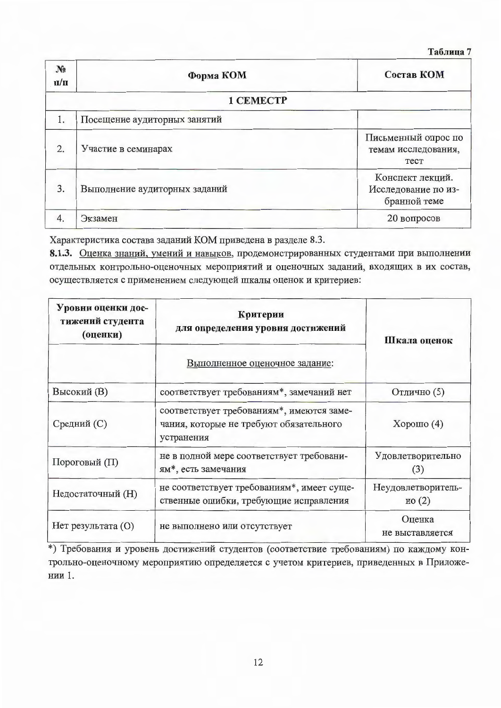Таблица 7

| $N_2$<br>$\Pi/\Pi$ | Состав КОМ<br>Форма КОМ       |                                                         |  |  |
|--------------------|-------------------------------|---------------------------------------------------------|--|--|
|                    | 1 CEMECTP                     |                                                         |  |  |
| 1.                 | Посещение аудиторных занятий  |                                                         |  |  |
| 2.                 | Участие в семинарах           | Письменный опрос по<br>темам исследования,<br>Tect      |  |  |
| 3.                 | Выполнение аудиторных заданий | Конспект лекций.<br>Исследование по из-<br>бранной теме |  |  |
| 4.                 | Экзамен                       | 20 вопросов                                             |  |  |

Характеристика состава заданий КОМ приведена в разделе 8.3.

8.1.3. Оценка знаний, умений и навыков, продемонстрированных студентами при выполнении отдельных контрольно-оценочных мероприятий и оценочных заданий, входящих в их состав, осуществляется с применением следующей шкалы оценок и критериев:

| Уровни оценки дос-<br>тижений студента<br>(оценки)     | Критерии<br>для определения уровня достижений                                                      | Шкала оценок                |  |
|--------------------------------------------------------|----------------------------------------------------------------------------------------------------|-----------------------------|--|
|                                                        | Выполненное оценочное задание:                                                                     |                             |  |
| Высокий (B)                                            | соответствует требованиям*, замечаний нет                                                          | Отлично (5)                 |  |
| Средний (С)                                            | соответствует требованиям*, имеются заме-<br>чания, которые не требуют обязательного<br>устранения | Хорошо $(4)$                |  |
| Пороговый (П)                                          | не в полной мере соответствует требовани-<br>ям*, есть замечания                                   | Удовлетворительно<br>(3)    |  |
| Недостаточный (H)                                      | не соответствует требованиям*, имеет суще-<br>ственные ошибки, требующие исправления               | Неудовлетворитель-<br>HO(2) |  |
| $Her$ результата $(O)$<br>не выполнено или отсутствует |                                                                                                    | Оценка<br>не выставляется   |  |

\*) Требования и уровень достижений студентов (соответствие требованиям) по каждому контрольно-оценочному мероприятию определяется с учетом критериев, приведенных в Приложении 1.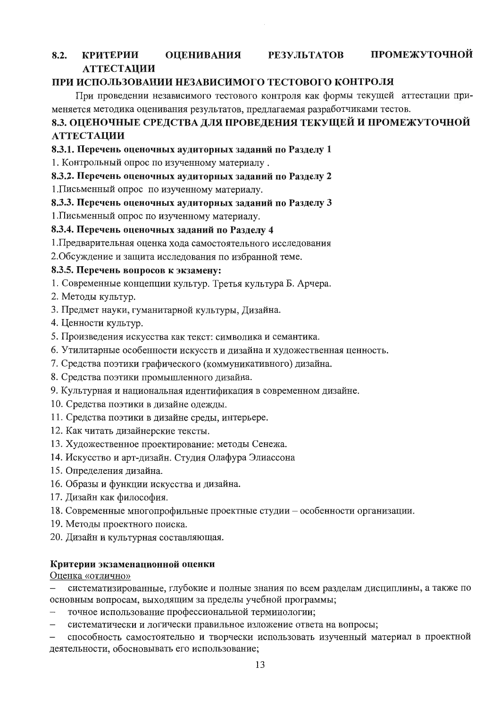#### ПРОМЕЖУТОЧНОЙ **КРИТЕРИИ ОЦЕНИВАНИЯ РЕЗУЛЬТАТОВ**  $8.2.$ **АТТЕСТАЦИИ**

## ПРИ ИСПОЛЬЗОВАНИИ НЕЗАВИСИМОГО ТЕСТОВОГО КОНТРОЛЯ

При проведении независимого тестового контроля как формы текущей аттестации применяется методика оценивания результатов, предлагаемая разработчиками тестов.

# 8.3. ОЦЕНОЧНЫЕ СРЕДСТВА ДЛЯ ПРОВЕДЕНИЯ ТЕКУЩЕЙ И ПРОМЕЖУТОЧНОЙ **АТТЕСТАЦИИ**

## 8.3.1. Перечень оценочных аудиторных заданий по Разделу 1

1. Контрольный опрос по изученному материалу.

## 8.3.2. Перечень оценочных аудиторных заданий по Разделу 2

1. Письменный опрос по изученному материалу.

## 8.3.3. Перечень оценочных аудиторных заданий по Разделу 3

1. Письменный опрос по изученному материалу.

## 8.3.4. Перечень оценочных заданий по Разделу 4

1. Предварительная оценка хода самостоятельного исследования

2. Обсуждение и защита исследования по избранной теме.

## 8.3.5. Перечень вопросов к экзамену:

- 1. Современные концепции культур. Третья культура Б. Арчера.
- 2. Методы культур.
- 3. Предмет науки, гуманитарной культуры, Дизайна.
- 4. Ценности культур.
- 5. Произведения искусства как текст: символика и семантика.
- 6. Утилитарные особенности искусств и дизайна и художественная ценность.
- 7. Средства поэтики графического (коммуникативного) дизайна.
- 8. Средства поэтики промышленного дизайна.
- 9. Культурная и национальная идентификация в современном дизайне.
- 10. Средства поэтики в дизайне одежды.
- 11. Средства поэтики в дизайне среды, интерьере.
- 12. Как читать дизайнерские тексты.
- 13. Художественное проектирование: методы Сенежа.
- 14. Искусство и арт-дизайн. Студия Олафура Элиассона
- 15. Определения дизайна.
- 16. Образы и функции искусства и дизайна.
- 17. Дизайн как философия.
- 18. Современные многопрофильные проектные студии особенности организации.
- 19. Методы проектного поиска.
- 20. Дизайн и культурная составляющая.

## Критерии экзаменационной оценки

## Оценка «отлично»

систематизированные, глубокие и полные знания по всем разделам дисциплины, а также по  $$ основным вопросам, выходящим за пределы учебной программы;

- точное использование профессиональной терминологии;
- систематически и логически правильное изложение ответа на вопросы;  $\overline{\phantom{0}}$

способность самостоятельно и творчески использовать изученный материал в проектной деятельности, обосновывать его использование;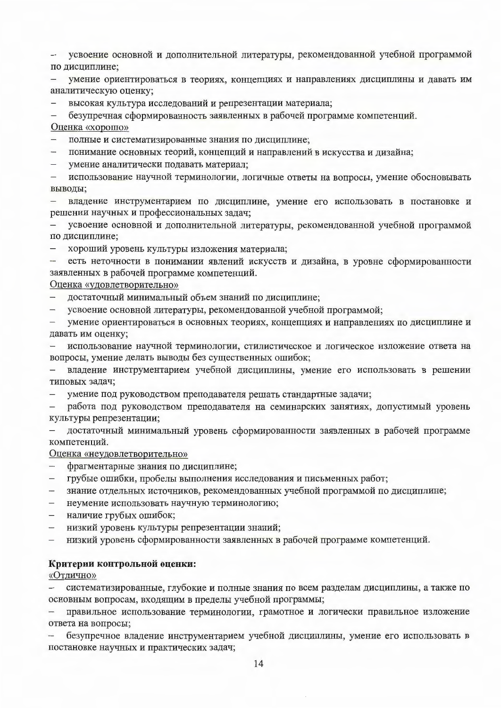усвоение основной и дополнительной литературы, рекомендованной учебной программой по дисциплине;

умение ориентироваться в теориях, концепциях и направлениях дисциплины и давать им  $$ аналитическую оценку;

высокая культура исследований и репрезентации материала;

безупречная сформированность заявленных в рабочей программе компетенций.

Оценка «хорошо»

- полные и систематизированные знания по дисциплине;

понимание основных теорий, концепций и направлений в искусства и дизайна;  $\overline{\phantom{a}}$ 

 $$ умение аналитически подавать материал;

 $\overline{\phantom{a}}$ использование научной терминологии, логичные ответы на вопросы, умение обосновывать выводы:

владение инструментарием по дисциплине, умение его использовать в постановке и  $$ решении научных и профессиональных задач;

усвоение основной и дополнительной литературы, рекомендованной учебной программой по дисциплине;

- хороший уровень культуры изложения материала;

есть неточности в понимании явлений искусств и дизайна, в уровне сформированности  $\overline{\phantom{0}}$ заявленных в рабочей программе компетенций.

### Оценка «удовлетворительно»

достаточный минимальный объем знаний по дисциплине;  $\,$ 

усвоение основной литературы, рекомендованной учебной программой;

умение ориентироваться в основных теориях, концепциях и направлениях по дисциплине и давать им оценку;

использование научной терминологии, стилистическое и логическое изложение ответа на  $\overline{\phantom{0}}$ вопросы, умение делать выводы без существенных ошибок;

владение инструментарием учебной дисциплины, умение его использовать в решении  $\overline{\phantom{m}}$ типовых задач;

 $\overline{\phantom{0}}$ умение под руководством преподавателя решать стандартные задачи;

работа под руководством преподавателя на семинарских занятиях, допустимый уровень  $\overline{\phantom{a}}$ культуры репрезентации;

достаточный минимальный уровень сформированности заявленных в рабочей программе компетенций.

Оценка «неудовлетворительно»

- фрагментарные знания по дисциплине;  $\overline{\phantom{a}}$
- грубые ошибки, пробелы выполнения исследования и письменных работ;  $-$
- знание отдельных источников, рекомендованных учебной программой по дисциплине;
- неумение использовать научную терминологию;  $-$
- наличие грубых ошибок;
- низкий уровень культуры репрезентации знаний;
- низкий уровень сформированности заявленных в рабочей программе компетенций.  $\,$

### Критерии контрольной оценки:

«Отлично»

систематизированные, глубокие и полные знания по всем разделам дисциплины, а также по  $\,$ основным вопросам, входящим в пределы учебной программы;

правильное использование терминологии, грамотное и логически правильное изложение  $\overline{\phantom{a}}$ ответа на вопросы;

безупречное владение инструментарием учебной дисциплины, умение его использовать в постановке научных и практических задач;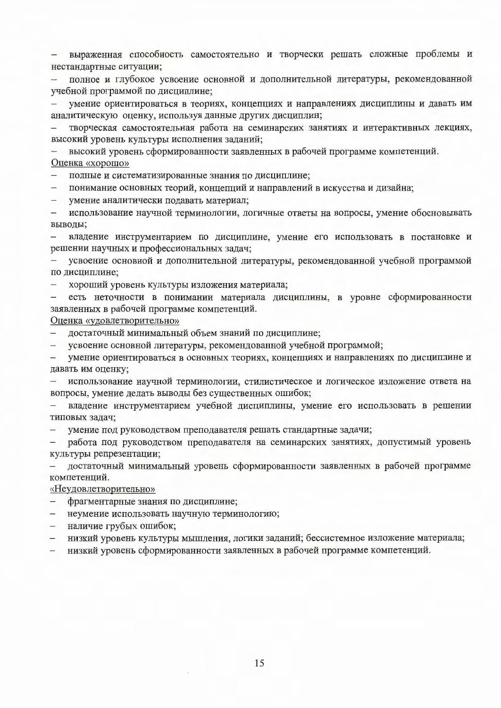- выраженная способность самостоятельно и творчески решать сложные проблемы и нестандартные ситуации;

- полное и глубокое усвоение основной и дополнительной литературы, рекомендованной учебной программой по дисциплине;

умение ориентироваться в теориях, концепциях и направлениях дисциплины и давать им аналитическую оценку, используя данные других дисциплин;

творческая самостоятельная работа на семинарских занятиях и интерактивных лекциях, высокий уровень культуры исполнения заданий;

высокий уровень сформированности заявленных в рабочей программе компетенций. Оценка «хорошо»

- полные и систематизированные знания по дисциплине;

понимание основных теорий, концепций и направлений в искусства и дизайна;  $\,$ 

умение аналитически подавать материал;  $\overline{\phantom{a}}$ 

 $\overline{\phantom{a}}$ использование научной терминологии, логичные ответы на вопросы, умение обосновывать выводы:

 $$ владение инструментарием по дисциплине, умение его использовать в постановке и решении научных и профессиональных задач;

усвоение основной и дополнительной литературы, рекомендованной учебной программой по дисциплине;

хороший уровень культуры изложения материала;  $\overline{\phantom{a}}$ 

есть неточности в понимании материала дисциплины, в уровне сформированности заявленных в рабочей программе компетенций.

Оценка «удовлетворительно»

- достаточный минимальный объем знаний по дисциплине;

 $\frac{1}{2}$ усвоение основной литературы, рекомендованной учебной программой;

- умение ориентироваться в основных теориях, концепциях и направлениях по дисциплине и давать им оценку;

использование научной терминологии, стилистическое и логическое изложение ответа на  $\overline{\phantom{a}}$ вопросы, умение делать выводы без существенных ошибок;

владение инструментарием учебной дисциплины, умение его использовать в решении типовых задач;

умение под руководством преподавателя решать стандартные задачи;  $\overline{\phantom{m}}$ 

работа под руководством преподавателя на семинарских занятиях, допустимый уровень культуры репрезентации;

достаточный минимальный уровень сформированности заявленных в рабочей программе  $\,$ компетенций.

«Неудовлетворительно»

- фрагментарные знания по дисциплине;
- неумение использовать научную терминологию;  $-$
- наличие грубых ошибок;
- низкий уровень культуры мышления, логики заданий; бессистемное изложение материала;
- низкий уровень сформированности заявленных в рабочей программе компетенций.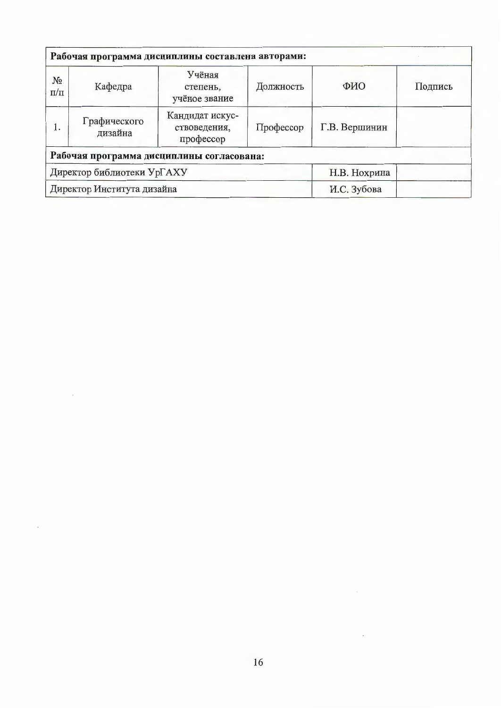| Рабочая программа дисциплины составлена авторами: |                         |                                              |              |               |         |  |  |
|---------------------------------------------------|-------------------------|----------------------------------------------|--------------|---------------|---------|--|--|
| $N_2$<br>$\Pi/\Pi$                                | Кафедра                 | Учёная<br>степень,<br>учёное звание          | Должность    | ФИО           | Подпись |  |  |
| 1.                                                | Графического<br>дизайна | Кандидат искус-<br>ствоведения,<br>профессор | Профессор    | Г.В. Вершинин |         |  |  |
|                                                   |                         | Рабочая программа дисциплины согласована:    |              |               |         |  |  |
| Директор библиотеки УрГАХУ                        |                         |                                              | Н.В. Нохрина |               |         |  |  |
| Директор Института дизайна                        |                         |                                              |              | И.С. Зубова   |         |  |  |